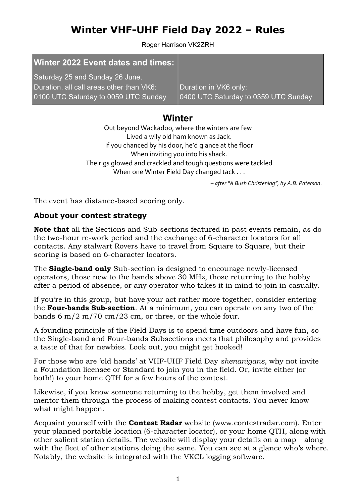# Winter VHF-UHF Field Day 2022 – Rules

Roger Harrison VK2ZRH

### Winter 2022 Event dates and times:

Saturday 25 and Sunday 26 June. Duration, all call areas other than VK6: 0100 UTC Saturday to 0059 UTC Sunday

Duration in VK6 only: 0400 UTC Saturday to 0359 UTC Sunday

## **Winter**

Out beyond Wackadoo, where the winters are few Lived a wily old ham known as Jack. If you chanced by his door, he'd glance at the floor When inviting you into his shack. The rigs glowed and crackled and tough questions were tackled When one Winter Field Day changed tack . . .

– after "A Bush Christening", by A.B. Paterson.

The event has distance-based scoring only.

### About your contest strategy

Note that all the Sections and Sub-sections featured in past events remain, as do the two-hour re-work period and the exchange of 6-character locators for all contacts. Any stalwart Rovers have to travel from Square to Square, but their scoring is based on 6-character locators.

The Single-band only Sub-section is designed to encourage newly-licensed operators, those new to the bands above 30 MHz, those returning to the hobby after a period of absence, or any operator who takes it in mind to join in casually.

If you're in this group, but have your act rather more together, consider entering the Four-bands Sub-section. At a minimum, you can operate on any two of the bands 6 m/2 m/70 cm/23 cm, or three, or the whole four.

A founding principle of the Field Days is to spend time outdoors and have fun, so the Single-band and Four-bands Subsections meets that philosophy and provides a taste of that for newbies. Look out, you might get hooked!

For those who are 'old hands' at VHF-UHF Field Day shenanigans, why not invite a Foundation licensee or Standard to join you in the field. Or, invite either (or both!) to your home QTH for a few hours of the contest.

Likewise, if you know someone returning to the hobby, get them involved and mentor them through the process of making contest contacts. You never know what might happen.

Acquaint yourself with the **Contest Radar** website (www.contestradar.com). Enter your planned portable location (6-character locator), or your home QTH, along with other salient station details. The website will display your details on a map – along with the fleet of other stations doing the same. You can see at a glance who's where. Notably, the website is integrated with the VKCL logging software.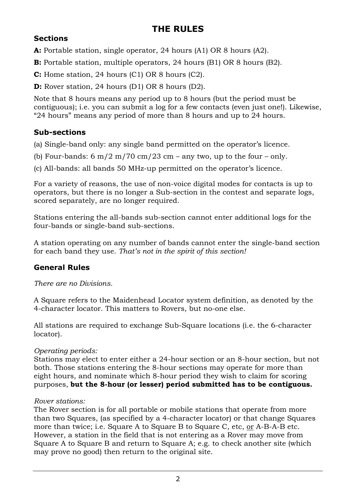## THE RULES

### **Sections**

A: Portable station, single operator, 24 hours (A1) OR 8 hours (A2).

B: Portable station, multiple operators, 24 hours (B1) OR 8 hours (B2).

C: Home station, 24 hours (C1) OR 8 hours (C2).

D: Rover station, 24 hours (D1) OR 8 hours (D2).

Note that 8 hours means any period up to 8 hours (but the period must be contiguous); i.e. you can submit a log for a few contacts (even just one!). Likewise, "24 hours" means any period of more than 8 hours and up to 24 hours.

### Sub-sections

(a) Single-band only: any single band permitted on the operator's licence.

(b) Four-bands:  $6 \text{ m}/2 \text{ m}/70 \text{ cm}/23 \text{ cm}$  – any two, up to the four – only.

(c) All-bands: all bands 50 MHz-up permitted on the operator's licence.

For a variety of reasons, the use of non-voice digital modes for contacts is up to operators, but there is no longer a Sub-section in the contest and separate logs, scored separately, are no longer required.

Stations entering the all-bands sub-section cannot enter additional logs for the four-bands or single-band sub-sections.

A station operating on any number of bands cannot enter the single-band section for each band they use. That's not in the spirit of this section!

## General Rules

There are no Divisions.

A Square refers to the Maidenhead Locator system definition, as denoted by the 4-character locator. This matters to Rovers, but no-one else.

All stations are required to exchange Sub-Square locations (i.e. the 6-character locator).

### Operating periods:

Stations may elect to enter either a 24-hour section or an 8-hour section, but not both. Those stations entering the 8-hour sections may operate for more than eight hours, and nominate which 8-hour period they wish to claim for scoring purposes, but the 8-hour (or lesser) period submitted has to be contiguous.

### Rover stations:

The Rover section is for all portable or mobile stations that operate from more than two Squares, (as specified by a 4-character locator) or that change Squares more than twice; i.e. Square A to Square B to Square C, etc, or A-B-A-B etc. However, a station in the field that is not entering as a Rover may move from Square A to Square B and return to Square A; e.g. to check another site (which may prove no good) then return to the original site.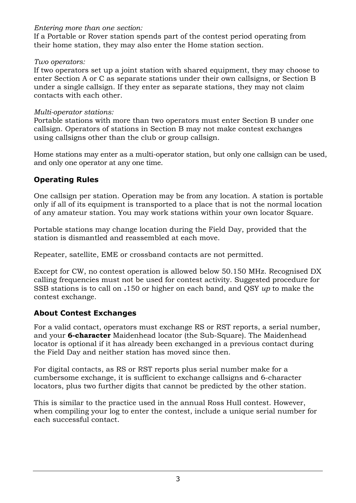### Entering more than one section:

If a Portable or Rover station spends part of the contest period operating from their home station, they may also enter the Home station section.

### Two operators:

If two operators set up a joint station with shared equipment, they may choose to enter Section A or C as separate stations under their own callsigns, or Section B under a single callsign. If they enter as separate stations, they may not claim contacts with each other.

### Multi-operator stations:

Portable stations with more than two operators must enter Section B under one callsign. Operators of stations in Section B may not make contest exchanges using callsigns other than the club or group callsign.

Home stations may enter as a multi-operator station, but only one callsign can be used, and only one operator at any one time.

### Operating Rules

One callsign per station. Operation may be from any location. A station is portable only if all of its equipment is transported to a place that is not the normal location of any amateur station. You may work stations within your own locator Square.

Portable stations may change location during the Field Day, provided that the station is dismantled and reassembled at each move.

Repeater, satellite, EME or crossband contacts are not permitted.

Except for CW, no contest operation is allowed below 50.150 MHz. Recognised DX calling frequencies must not be used for contest activity. Suggested procedure for SSB stations is to call on .150 or higher on each band, and QSY up to make the contest exchange.

### About Contest Exchanges

For a valid contact, operators must exchange RS or RST reports, a serial number, and your **6-character** Maidenhead locator (the Sub-Square). The Maidenhead locator is optional if it has already been exchanged in a previous contact during the Field Day and neither station has moved since then.

For digital contacts, as RS or RST reports plus serial number make for a cumbersome exchange, it is sufficient to exchange callsigns and 6-character locators, plus two further digits that cannot be predicted by the other station.

This is similar to the practice used in the annual Ross Hull contest. However, when compiling your log to enter the contest, include a unique serial number for each successful contact.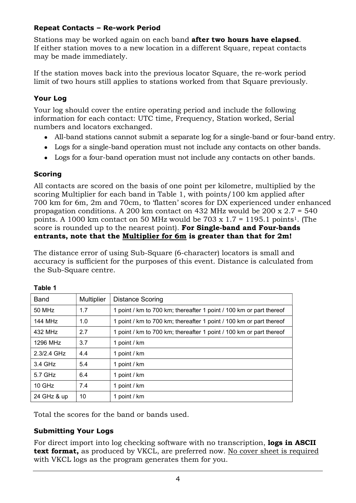### Repeat Contacts – Re-work Period

Stations may be worked again on each band after two hours have elapsed. If either station moves to a new location in a different Square, repeat contacts may be made immediately.

If the station moves back into the previous locator Square, the re-work period limit of two hours still applies to stations worked from that Square previously.

### Your Log

Your log should cover the entire operating period and include the following information for each contact: UTC time, Frequency, Station worked, Serial numbers and locators exchanged.

- All-band stations cannot submit a separate log for a single-band or four-band entry.
- Logs for a single-band operation must not include any contacts on other bands.
- Logs for a four-band operation must not include any contacts on other bands.

#### **Scoring**

All contacts are scored on the basis of one point per kilometre, multiplied by the scoring Multiplier for each band in Table 1, with points/100 km applied after 700 km for 6m, 2m and 70cm, to 'flatten' scores for DX experienced under enhanced propagation conditions. A 200 km contact on 432 MHz would be 200 x 2.7 = 540 points. A 1000 km contact on 50 MHz would be 703 x  $1.7 = 1195.1$  points<sup>1</sup>. (The score is rounded up to the nearest point). For Single-band and Four-bands entrants, note that the Multiplier for 6m is greater than that for 2m!

The distance error of using Sub-Square (6-character) locators is small and accuracy is sufficient for the purposes of this event. Distance is calculated from the Sub-Square centre.

| <b>Band</b>         | <b>Multiplier</b> | <b>Distance Scoring</b>                                             |
|---------------------|-------------------|---------------------------------------------------------------------|
| 50 MHz              | 1.7               | 1 point / km to 700 km; thereafter 1 point / 100 km or part thereof |
| 144 MH <sub>7</sub> | 1.0               | 1 point / km to 700 km; thereafter 1 point / 100 km or part thereof |
| 432 MHz             | 2.7               | 1 point / km to 700 km; thereafter 1 point / 100 km or part thereof |
| 1296 MHz            | 3.7               | 1 point / km                                                        |
| 2.3/2.4 GHz         | 4.4               | 1 point / km                                                        |
| 3.4 GHz             | 5.4               | 1 point / km                                                        |
| 5.7 GHz             | 6.4               | 1 point / km                                                        |
| $10$ GHz            | 7.4               | 1 point / km                                                        |
| 24 GHz & up         | 10                | 1 point / km                                                        |

#### Table 1

Total the scores for the band or bands used.

#### Submitting Your Logs

For direct import into log checking software with no transcription, **logs in ASCII** text format, as produced by VKCL, are preferred now. No cover sheet is required with VKCL logs as the program generates them for you.